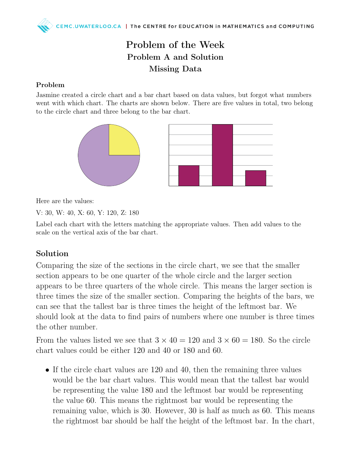## Problem of the Week Problem A and Solution Missing Data

## Problem

Jasmine created a circle chart and a bar chart based on data values, but forgot what numbers went with which chart. The charts are shown below. There are five values in total, two belong to the circle chart and three belong to the bar chart.



Here are the values:

V: 30, W: 40, X: 60, Y: 120, Z: 180

Label each chart with the letters matching the appropriate values. Then add values to the scale on the vertical axis of the bar chart.

## Solution

Comparing the size of the sections in the circle chart, we see that the smaller section appears to be one quarter of the whole circle and the larger section appears to be three quarters of the whole circle. This means the larger section is three times the size of the smaller section. Comparing the heights of the bars, we can see that the tallest bar is three times the height of the leftmost bar. We should look at the data to find pairs of numbers where one number is three times the other number.

From the values listed we see that  $3 \times 40 = 120$  and  $3 \times 60 = 180$ . So the circle chart values could be either 120 and 40 or 180 and 60.

• If the circle chart values are 120 and 40, then the remaining three values would be the bar chart values. This would mean that the tallest bar would be representing the value 180 and the leftmost bar would be representing the value 60. This means the rightmost bar would be representing the remaining value, which is 30. However, 30 is half as much as 60. This means the rightmost bar should be half the height of the leftmost bar. In the chart,